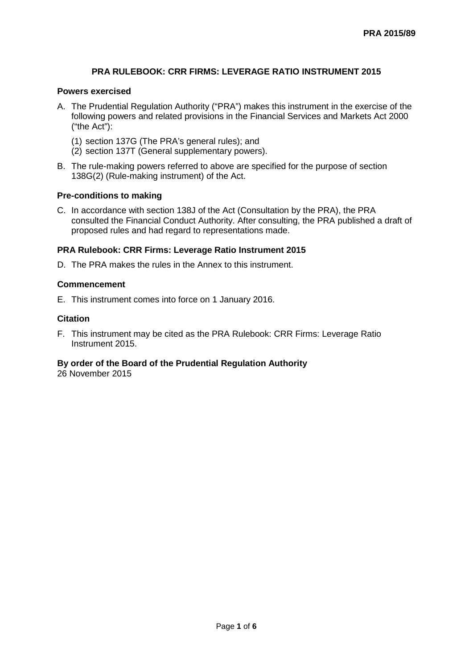## **PRA RULEBOOK: CRR FIRMS: LEVERAGE RATIO INSTRUMENT 2015**

### **Powers exercised**

- A. The Prudential Regulation Authority ("PRA") makes this instrument in the exercise of the following powers and related provisions in the Financial Services and Markets Act 2000 ("the Act"):
	- (1) section 137G (The PRA's general rules); and
	- (2) section 137T (General supplementary powers).
- B. The rule-making powers referred to above are specified for the purpose of section 138G(2) (Rule-making instrument) of the Act.

#### **Pre-conditions to making**

C. In accordance with section 138J of the Act (Consultation by the PRA), the PRA consulted the Financial Conduct Authority. After consulting, the PRA published a draft of proposed rules and had regard to representations made.

#### **PRA Rulebook: CRR Firms: Leverage Ratio Instrument 2015**

D. The PRA makes the rules in the Annex to this instrument.

#### **Commencement**

E. This instrument comes into force on 1 January 2016.

#### **Citation**

F. This instrument may be cited as the PRA Rulebook: CRR Firms: Leverage Ratio Instrument 2015.

## **By order of the Board of the Prudential Regulation Authority**

26 November 2015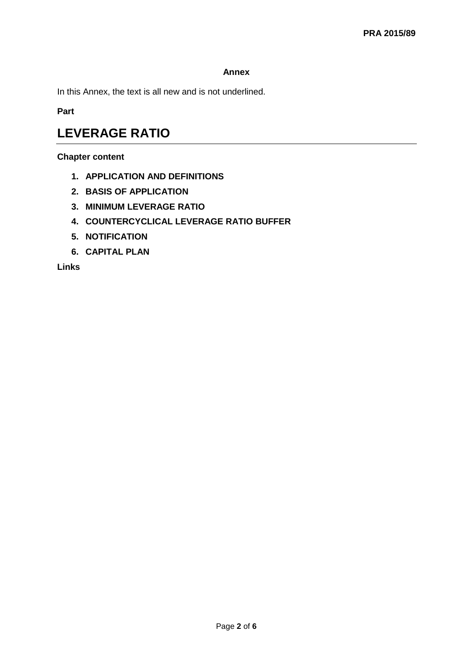## **Annex**

In this Annex, the text is all new and is not underlined.

**Part** 

# **LEVERAGE RATIO**

## **Chapter content**

- **1. APPLICATION AND DEFINITIONS**
- **2. BASIS OF APPLICATION**
- **3. MINIMUM LEVERAGE RATIO**
- **4. COUNTERCYCLICAL LEVERAGE RATIO BUFFER**
- **5. NOTIFICATION**
- **6. CAPITAL PLAN**

**Links**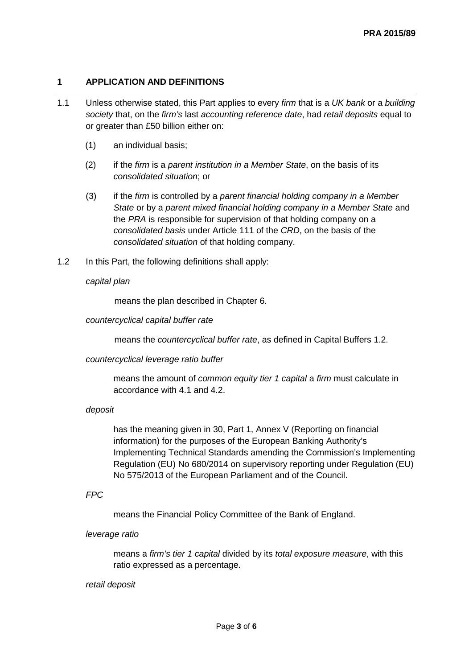## **1 APPLICATION AND DEFINITIONS**

- 1.1 Unless otherwise stated, this Part applies to every *firm* that is a *UK bank* or a *building society* that, on the *firm's* last *accounting reference date*, had *retail deposits* equal to or greater than £50 billion either on:
	- (1) an individual basis;
	- (2) if the *firm* is a *parent institution in a Member State*, on the basis of its *consolidated situation*; or
	- (3) if the *firm* is controlled by a *parent financial holding company in a Member State* or by a *parent mixed financial holding company in a Member State* and the *PRA* is responsible for supervision of that holding company on a *consolidated basis* under Article 111 of the *CRD*, on the basis of the *consolidated situation* of that holding company.
- 1.2 In this Part, the following definitions shall apply:

#### *capital plan*

means the plan described in Chapter 6.

#### *countercyclical capital buffer rate*

means the *countercyclical buffer rate*, as defined in Capital Buffers 1.2.

#### *countercyclical leverage ratio buffer*

means the amount of *common equity tier 1 capital* a *firm* must calculate in accordance with 4.1 and 4.2.

#### *deposit*

has the meaning given in 30, Part 1, Annex V (Reporting on financial information) for the purposes of the European Banking Authority's Implementing Technical Standards amending the Commission's Implementing Regulation (EU) No 680/2014 on supervisory reporting under Regulation (EU) No 575/2013 of the European Parliament and of the Council.

*FPC*

means the Financial Policy Committee of the Bank of England.

#### *leverage ratio*

means a *firm's tier 1 capital* divided by its *total exposure measure*, with this ratio expressed as a percentage.

#### *retail deposit*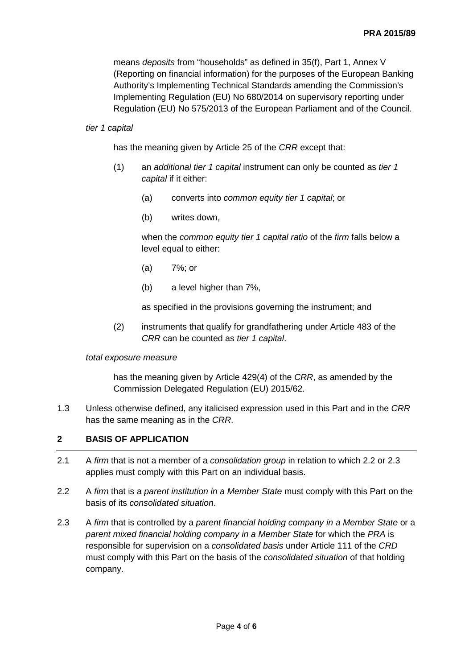means *deposits* from "households" as defined in 35(f), Part 1, Annex V (Reporting on financial information) for the purposes of the European Banking Authority's Implementing Technical Standards amending the Commission's Implementing Regulation (EU) No 680/2014 on supervisory reporting under Regulation (EU) No 575/2013 of the European Parliament and of the Council*.*

#### *tier 1 capital*

has the meaning given by Article 25 of the *CRR* except that:

- (1) an *additional tier 1 capital* instrument can only be counted as *tier 1 capital* if it either:
	- (a) converts into *common equity tier 1 capital*; or
	- (b) writes down,

when the *common equity tier 1 capital ratio* of the *firm* falls below a level equal to either:

- (a) 7%; or
- (b) a level higher than 7%,

as specified in the provisions governing the instrument; and

(2) instruments that qualify for grandfathering under Article 483 of the *CRR* can be counted as *tier 1 capital*.

#### *total exposure measure*

has the meaning given by Article 429(4) of the *CRR*, as amended by the Commission Delegated Regulation (EU) 2015/62.

1.3 Unless otherwise defined, any italicised expression used in this Part and in the *CRR* has the same meaning as in the *CRR*.

#### **2 BASIS OF APPLICATION**

- 2.1 A *firm* that is not a member of a *consolidation group* in relation to which 2.2 or 2.3 applies must comply with this Part on an individual basis.
- 2.2 A *firm* that is a *parent institution in a Member State* must comply with this Part on the basis of its *consolidated situation*.
- 2.3 A *firm* that is controlled by a *parent financial holding company in a Member State* or a *parent mixed financial holding company in a Member State* for which the *PRA* is responsible for supervision on a *consolidated basis* under Article 111 of the *CRD* must comply with this Part on the basis of the *consolidated situation* of that holding company.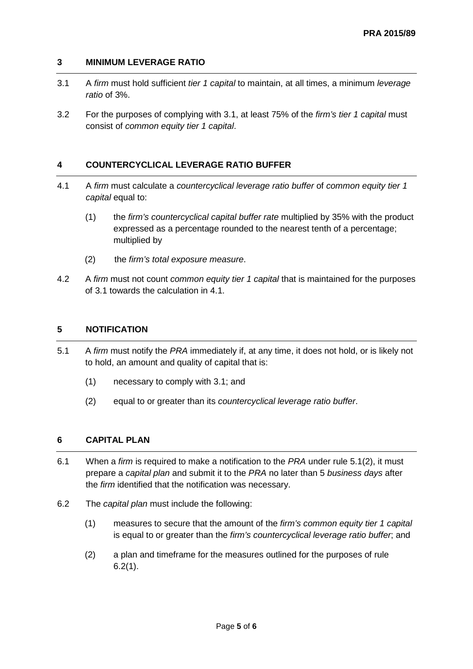## **3 MINIMUM LEVERAGE RATIO**

- 3.1 A *firm* must hold sufficient *tier 1 capital* to maintain, at all times, a minimum *leverage ratio* of 3%.
- 3.2 For the purposes of complying with 3.1, at least 75% of the *firm's tier 1 capital* must consist of *common equity tier 1 capital*.

## **4 COUNTERCYCLICAL LEVERAGE RATIO BUFFER**

- 4.1 A *firm* must calculate a *countercyclical leverage ratio buffer* of *common equity tier 1 capital* equal to:
	- (1) the *firm's countercyclical capital buffer rate* multiplied by 35% with the product expressed as a percentage rounded to the nearest tenth of a percentage; multiplied by
	- (2) the *firm's total exposure measure*.
- 4.2 A *firm* must not count *common equity tier 1 capital* that is maintained for the purposes of 3.1 towards the calculation in 4.1.

## **5 NOTIFICATION**

- 5.1 A *firm* must notify the *PRA* immediately if, at any time, it does not hold, or is likely not to hold, an amount and quality of capital that is:
	- (1) necessary to comply with 3.1; and
	- (2) equal to or greater than its *countercyclical leverage ratio buffer*.

## **6 CAPITAL PLAN**

- 6.1 When a *firm* is required to make a notification to the *PRA* under rule 5.1(2), it must prepare a *capital plan* and submit it to the *PRA* no later than 5 *business days* after the *firm* identified that the notification was necessary.
- 6.2 The *capital plan* must include the following:
	- (1) measures to secure that the amount of the *firm's common equity tier 1 capital* is equal to or greater than the *firm's countercyclical leverage ratio buffer*; and
	- (2) a plan and timeframe for the measures outlined for the purposes of rule  $6.2(1)$ .